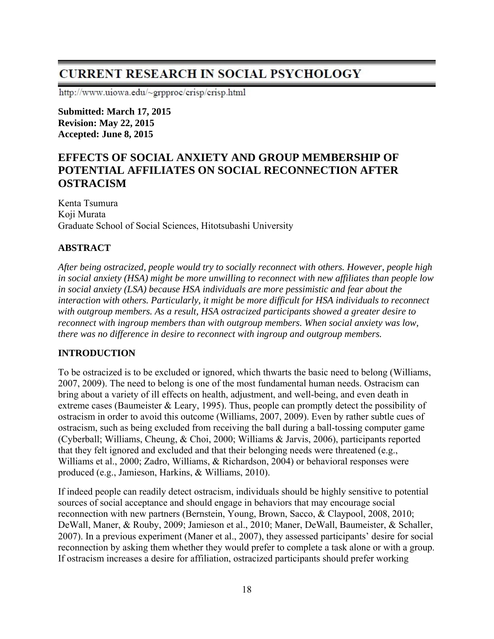# **CURRENT RESEARCH IN SOCIAL PSYCHOLOGY**

http://www.uiowa.edu/~grpproc/crisp/crisp.html

**Submitted: March 17, 2015 Revision: May 22, 2015 Accepted: June 8, 2015** 

## **EFFECTS OF SOCIAL ANXIETY AND GROUP MEMBERSHIP OF POTENTIAL AFFILIATES ON SOCIAL RECONNECTION AFTER OSTRACISM**

Kenta Tsumura Koji Murata Graduate School of Social Sciences, Hitotsubashi University

## **ABSTRACT**

*After being ostracized, people would try to socially reconnect with others. However, people high in social anxiety (HSA) might be more unwilling to reconnect with new affiliates than people low in social anxiety (LSA) because HSA individuals are more pessimistic and fear about the interaction with others. Particularly, it might be more difficult for HSA individuals to reconnect with outgroup members. As a result, HSA ostracized participants showed a greater desire to reconnect with ingroup members than with outgroup members. When social anxiety was low, there was no difference in desire to reconnect with ingroup and outgroup members.* 

## **INTRODUCTION**

To be ostracized is to be excluded or ignored, which thwarts the basic need to belong (Williams, 2007, 2009). The need to belong is one of the most fundamental human needs. Ostracism can bring about a variety of ill effects on health, adjustment, and well-being, and even death in extreme cases (Baumeister & Leary, 1995). Thus, people can promptly detect the possibility of ostracism in order to avoid this outcome (Williams, 2007, 2009). Even by rather subtle cues of ostracism, such as being excluded from receiving the ball during a ball-tossing computer game (Cyberball; Williams, Cheung, & Choi, 2000; Williams & Jarvis, 2006), participants reported that they felt ignored and excluded and that their belonging needs were threatened (e.g., Williams et al., 2000; Zadro, Williams, & Richardson, 2004) or behavioral responses were produced (e.g., Jamieson, Harkins, & Williams, 2010).

If indeed people can readily detect ostracism, individuals should be highly sensitive to potential sources of social acceptance and should engage in behaviors that may encourage social reconnection with new partners (Bernstein, Young, Brown, Sacco, & Claypool, 2008, 2010; DeWall, Maner, & Rouby, 2009; Jamieson et al., 2010; Maner, DeWall, Baumeister, & Schaller, 2007). In a previous experiment (Maner et al., 2007), they assessed participants' desire for social reconnection by asking them whether they would prefer to complete a task alone or with a group. If ostracism increases a desire for affiliation, ostracized participants should prefer working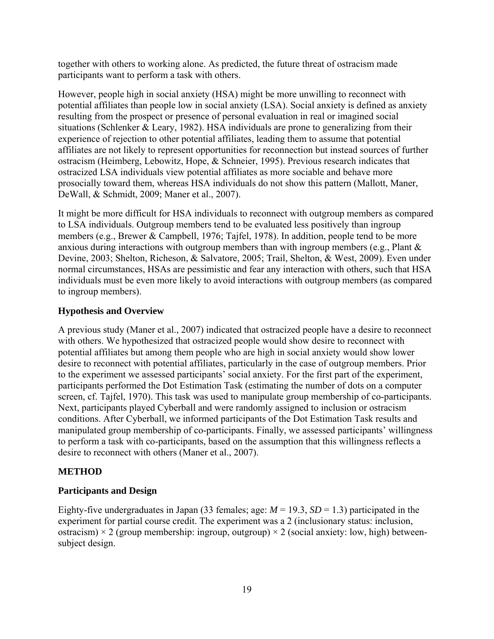together with others to working alone. As predicted, the future threat of ostracism made participants want to perform a task with others.

However, people high in social anxiety (HSA) might be more unwilling to reconnect with potential affiliates than people low in social anxiety (LSA). Social anxiety is defined as anxiety resulting from the prospect or presence of personal evaluation in real or imagined social situations (Schlenker & Leary, 1982). HSA individuals are prone to generalizing from their experience of rejection to other potential affiliates, leading them to assume that potential affiliates are not likely to represent opportunities for reconnection but instead sources of further ostracism (Heimberg, Lebowitz, Hope, & Schneier, 1995). Previous research indicates that ostracized LSA individuals view potential affiliates as more sociable and behave more prosocially toward them, whereas HSA individuals do not show this pattern (Mallott, Maner, DeWall, & Schmidt, 2009; Maner et al., 2007).

It might be more difficult for HSA individuals to reconnect with outgroup members as compared to LSA individuals. Outgroup members tend to be evaluated less positively than ingroup members (e.g., Brewer & Campbell, 1976; Tajfel, 1978). In addition, people tend to be more anxious during interactions with outgroup members than with ingroup members (e.g., Plant & Devine, 2003; Shelton, Richeson, & Salvatore, 2005; Trail, Shelton, & West, 2009). Even under normal circumstances, HSAs are pessimistic and fear any interaction with others, such that HSA individuals must be even more likely to avoid interactions with outgroup members (as compared to ingroup members).

## **Hypothesis and Overview**

A previous study (Maner et al., 2007) indicated that ostracized people have a desire to reconnect with others. We hypothesized that ostracized people would show desire to reconnect with potential affiliates but among them people who are high in social anxiety would show lower desire to reconnect with potential affiliates, particularly in the case of outgroup members. Prior to the experiment we assessed participants' social anxiety. For the first part of the experiment, participants performed the Dot Estimation Task (estimating the number of dots on a computer screen, cf. Tajfel, 1970). This task was used to manipulate group membership of co-participants. Next, participants played Cyberball and were randomly assigned to inclusion or ostracism conditions. After Cyberball, we informed participants of the Dot Estimation Task results and manipulated group membership of co-participants. Finally, we assessed participants' willingness to perform a task with co-participants, based on the assumption that this willingness reflects a desire to reconnect with others (Maner et al., 2007).

#### **METHOD**

#### **Participants and Design**

Eighty-five undergraduates in Japan (33 females; age: *M* = 19.3, *SD* = 1.3) participated in the experiment for partial course credit. The experiment was a 2 (inclusionary status: inclusion, ostracism)  $\times$  2 (group membership: ingroup, outgroup)  $\times$  2 (social anxiety: low, high) betweensubject design.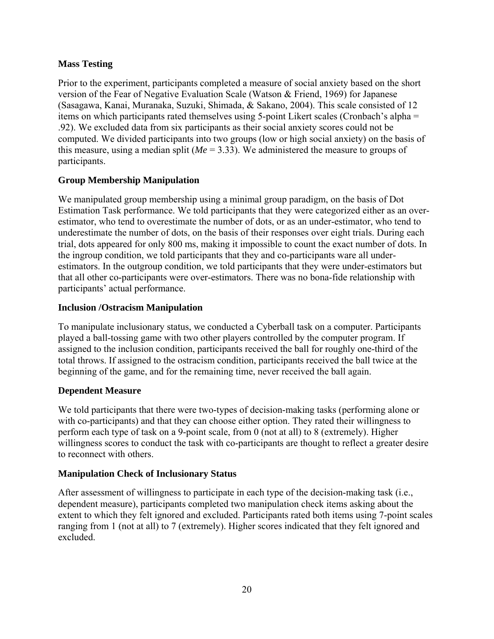## **Mass Testing**

Prior to the experiment, participants completed a measure of social anxiety based on the short version of the Fear of Negative Evaluation Scale (Watson & Friend, 1969) for Japanese (Sasagawa, Kanai, Muranaka, Suzuki, Shimada, & Sakano, 2004). This scale consisted of 12 items on which participants rated themselves using 5-point Likert scales (Cronbach's alpha = .92). We excluded data from six participants as their social anxiety scores could not be computed. We divided participants into two groups (low or high social anxiety) on the basis of this measure, using a median split (*Me* = 3.33). We administered the measure to groups of participants.

## **Group Membership Manipulation**

We manipulated group membership using a minimal group paradigm, on the basis of Dot Estimation Task performance. We told participants that they were categorized either as an overestimator, who tend to overestimate the number of dots, or as an under-estimator, who tend to underestimate the number of dots, on the basis of their responses over eight trials. During each trial, dots appeared for only 800 ms, making it impossible to count the exact number of dots. In the ingroup condition, we told participants that they and co-participants ware all underestimators. In the outgroup condition, we told participants that they were under-estimators but that all other co-participants were over-estimators. There was no bona-fide relationship with participants' actual performance.

## **Inclusion /Ostracism Manipulation**

To manipulate inclusionary status, we conducted a Cyberball task on a computer. Participants played a ball-tossing game with two other players controlled by the computer program. If assigned to the inclusion condition, participants received the ball for roughly one-third of the total throws. If assigned to the ostracism condition, participants received the ball twice at the beginning of the game, and for the remaining time, never received the ball again.

## **Dependent Measure**

We told participants that there were two-types of decision-making tasks (performing alone or with co-participants) and that they can choose either option. They rated their willingness to perform each type of task on a 9-point scale, from 0 (not at all) to 8 (extremely). Higher willingness scores to conduct the task with co-participants are thought to reflect a greater desire to reconnect with others.

## **Manipulation Check of Inclusionary Status**

After assessment of willingness to participate in each type of the decision-making task (i.e., dependent measure), participants completed two manipulation check items asking about the extent to which they felt ignored and excluded. Participants rated both items using 7-point scales ranging from 1 (not at all) to 7 (extremely). Higher scores indicated that they felt ignored and excluded.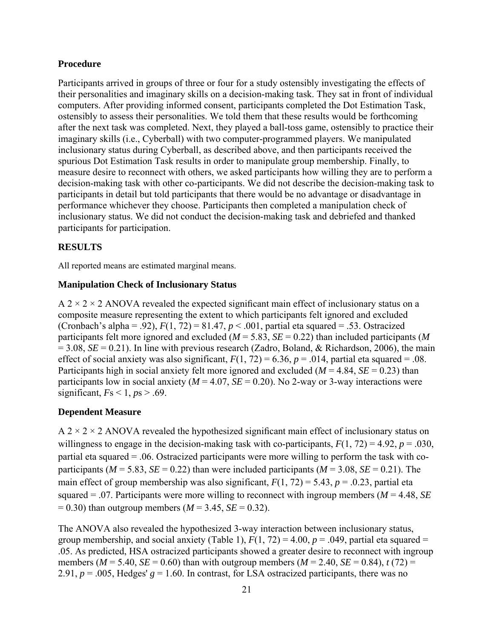#### **Procedure**

Participants arrived in groups of three or four for a study ostensibly investigating the effects of their personalities and imaginary skills on a decision-making task. They sat in front of individual computers. After providing informed consent, participants completed the Dot Estimation Task, ostensibly to assess their personalities. We told them that these results would be forthcoming after the next task was completed. Next, they played a ball-toss game, ostensibly to practice their imaginary skills (i.e., Cyberball) with two computer-programmed players. We manipulated inclusionary status during Cyberball, as described above, and then participants received the spurious Dot Estimation Task results in order to manipulate group membership. Finally, to measure desire to reconnect with others, we asked participants how willing they are to perform a decision-making task with other co-participants. We did not describe the decision-making task to participants in detail but told participants that there would be no advantage or disadvantage in performance whichever they choose. Participants then completed a manipulation check of inclusionary status. We did not conduct the decision-making task and debriefed and thanked participants for participation.

## **RESULTS**

All reported means are estimated marginal means.

#### **Manipulation Check of Inclusionary Status**

 $A$  2  $\times$  2  $\times$  2 ANOVA revealed the expected significant main effect of inclusionary status on a composite measure representing the extent to which participants felt ignored and excluded (Cronbach's alpha = .92),  $F(1, 72) = 81.47$ ,  $p < .001$ , partial eta squared = .53. Ostracized participants felt more ignored and excluded  $(M = 5.83, SE = 0.22)$  than included participants (*M*  $= 3.08$ , *SE* = 0.21). In line with previous research (Zadro, Boland, & Richardson, 2006), the main effect of social anxiety was also significant,  $F(1, 72) = 6.36$ ,  $p = .014$ , partial eta squared = .08. Participants high in social anxiety felt more ignored and excluded ( $M = 4.84$ ,  $SE = 0.23$ ) than participants low in social anxiety ( $M = 4.07$ ,  $SE = 0.20$ ). No 2-way or 3-way interactions were significant,  $Fs < 1$ ,  $ps > .69$ .

#### **Dependent Measure**

 $A$  2  $\times$  2  $\times$  2 ANOVA revealed the hypothesized significant main effect of inclusionary status on willingness to engage in the decision-making task with co-participants,  $F(1, 72) = 4.92$ ,  $p = .030$ , partial eta squared = .06. Ostracized participants were more willing to perform the task with coparticipants ( $M = 5.83$ ,  $SE = 0.22$ ) than were included participants ( $M = 3.08$ ,  $SE = 0.21$ ). The main effect of group membership was also significant,  $F(1, 72) = 5.43$ ,  $p = .0.23$ , partial eta squared = .07. Participants were more willing to reconnect with ingroup members (*M* = 4.48, *SE*  $= 0.30$ ) than outgroup members ( $M = 3.45$ ,  $SE = 0.32$ ).

The ANOVA also revealed the hypothesized 3-way interaction between inclusionary status, group membership, and social anxiety (Table 1),  $F(1, 72) = 4.00$ ,  $p = .049$ , partial eta squared = .05. As predicted, HSA ostracized participants showed a greater desire to reconnect with ingroup members ( $M = 5.40$ ,  $SE = 0.60$ ) than with outgroup members ( $M = 2.40$ ,  $SE = 0.84$ ),  $t(72) =$ 2.91,  $p = 0.005$ , Hedges'  $g = 1.60$ . In contrast, for LSA ostracized participants, there was no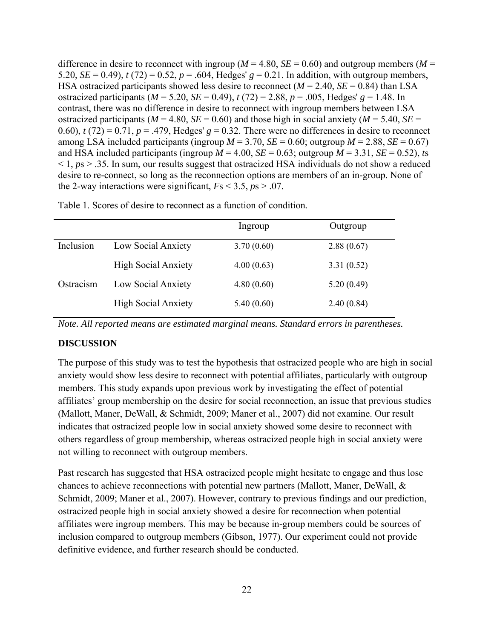difference in desire to reconnect with ingroup ( $M = 4.80$ ,  $SE = 0.60$ ) and outgroup members ( $M =$ 5.20, *SE* = 0.49),  $t(72) = 0.52$ ,  $p = .604$ , Hedges'  $g = 0.21$ . In addition, with outgroup members, HSA ostracized participants showed less desire to reconnect (*M* = 2.40, *SE* = 0.84) than LSA ostracized participants ( $M = 5.20$ ,  $SE = 0.49$ ),  $t(72) = 2.88$ ,  $p = .005$ , Hedges'  $g = 1.48$ . In contrast, there was no difference in desire to reconnect with ingroup members between LSA ostracized participants ( $M = 4.80$ ,  $SE = 0.60$ ) and those high in social anxiety ( $M = 5.40$ ,  $SE =$ 0.60),  $t(72) = 0.71$ ,  $p = .479$ , Hedges'  $g = 0.32$ . There were no differences in desire to reconnect among LSA included participants (ingroup  $M = 3.70$ ,  $SE = 0.60$ ; outgroup  $M = 2.88$ ,  $SE = 0.67$ ) and HSA included participants (ingroup  $M = 4.00$ ,  $SE = 0.63$ ; outgroup  $M = 3.31$ ,  $SE = 0.52$ ), *ts*  $\leq 1$ ,  $ps > .35$ . In sum, our results suggest that ostracized HSA individuals do not show a reduced desire to re-connect, so long as the reconnection options are members of an in-group. None of the 2-way interactions were significant,  $Fs < 3.5$ ,  $ps > .07$ .

|           |                            | Ingroup    | Outgroup   |
|-----------|----------------------------|------------|------------|
| Inclusion | Low Social Anxiety         | 3.70(0.60) | 2.88(0.67) |
|           | <b>High Social Anxiety</b> | 4.00(0.63) | 3.31(0.52) |
| Ostracism | Low Social Anxiety         | 4.80(0.60) | 5.20(0.49) |
|           | <b>High Social Anxiety</b> | 5.40(0.60) | 2.40(0.84) |

Table 1. Scores of desire to reconnect as a function of condition*.* 

*Note. All reported means are estimated marginal means. Standard errors in parentheses.* 

#### **DISCUSSION**

The purpose of this study was to test the hypothesis that ostracized people who are high in social anxiety would show less desire to reconnect with potential affiliates, particularly with outgroup members. This study expands upon previous work by investigating the effect of potential affiliates' group membership on the desire for social reconnection, an issue that previous studies (Mallott, Maner, DeWall, & Schmidt, 2009; Maner et al., 2007) did not examine. Our result indicates that ostracized people low in social anxiety showed some desire to reconnect with others regardless of group membership, whereas ostracized people high in social anxiety were not willing to reconnect with outgroup members.

Past research has suggested that HSA ostracized people might hesitate to engage and thus lose chances to achieve reconnections with potential new partners (Mallott, Maner, DeWall, & Schmidt, 2009; Maner et al., 2007). However, contrary to previous findings and our prediction, ostracized people high in social anxiety showed a desire for reconnection when potential affiliates were ingroup members. This may be because in-group members could be sources of inclusion compared to outgroup members (Gibson, 1977). Our experiment could not provide definitive evidence, and further research should be conducted.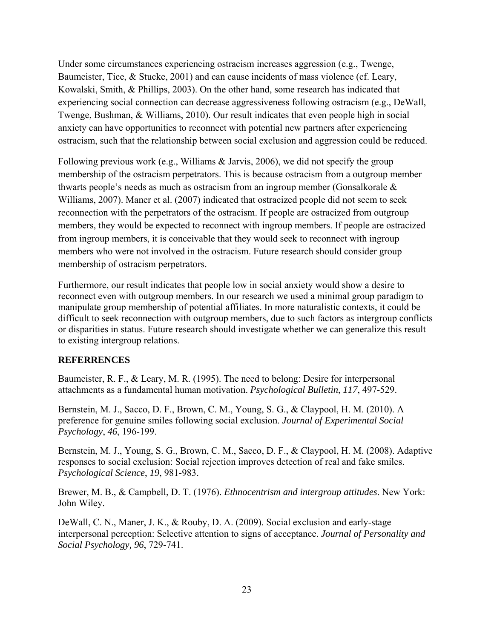Under some circumstances experiencing ostracism increases aggression (e.g., Twenge, Baumeister, Tice, & Stucke, 2001) and can cause incidents of mass violence (cf. Leary, Kowalski, Smith, & Phillips, 2003). On the other hand, some research has indicated that experiencing social connection can decrease aggressiveness following ostracism (e.g., DeWall, Twenge, Bushman, & Williams, 2010). Our result indicates that even people high in social anxiety can have opportunities to reconnect with potential new partners after experiencing ostracism, such that the relationship between social exclusion and aggression could be reduced.

Following previous work (e.g., Williams & Jarvis, 2006), we did not specify the group membership of the ostracism perpetrators. This is because ostracism from a outgroup member thwarts people's needs as much as ostracism from an ingroup member (Gonsalkorale & Williams, 2007). Maner et al. (2007) indicated that ostracized people did not seem to seek reconnection with the perpetrators of the ostracism. If people are ostracized from outgroup members, they would be expected to reconnect with ingroup members. If people are ostracized from ingroup members, it is conceivable that they would seek to reconnect with ingroup members who were not involved in the ostracism. Future research should consider group membership of ostracism perpetrators.

Furthermore, our result indicates that people low in social anxiety would show a desire to reconnect even with outgroup members. In our research we used a minimal group paradigm to manipulate group membership of potential affiliates. In more naturalistic contexts, it could be difficult to seek reconnection with outgroup members, due to such factors as intergroup conflicts or disparities in status. Future research should investigate whether we can generalize this result to existing intergroup relations.

#### **REFERRENCES**

Baumeister, R. F., & Leary, M. R. (1995). The need to belong: Desire for interpersonal attachments as a fundamental human motivation. *Psychological Bulletin*, *117*, 497-529.

Bernstein, M. J., Sacco, D. F., Brown, C. M., Young, S. G., & Claypool, H. M. (2010). A preference for genuine smiles following social exclusion. *Journal of Experimental Social Psychology*, *46*, 196-199.

Bernstein, M. J., Young, S. G., Brown, C. M., Sacco, D. F., & Claypool, H. M. (2008). Adaptive responses to social exclusion: Social rejection improves detection of real and fake smiles. *Psychological Science*, *19*, 981-983.

Brewer, M. B., & Campbell, D. T. (1976). *Ethnocentrism and intergroup attitudes*. New York: John Wiley.

DeWall, C. N., Maner, J. K., & Rouby, D. A. (2009). Social exclusion and early-stage interpersonal perception: Selective attention to signs of acceptance. *Journal of Personality and Social Psychology, 96*, 729-741.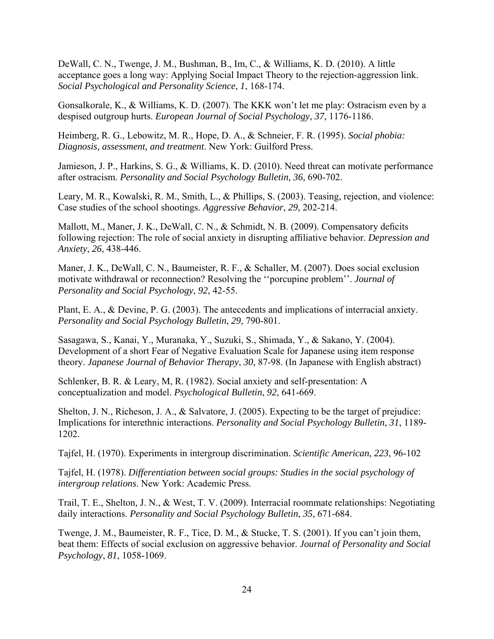DeWall, C. N., Twenge, J. M., Bushman, B., Im, C., & Williams, K. D. (2010). A little acceptance goes a long way: Applying Social Impact Theory to the rejection-aggression link. *Social Psychological and Personality Science*, *1*, 168-174.

Gonsalkorale, K., & Williams, K. D. (2007). The KKK won't let me play: Ostracism even by a despised outgroup hurts. *European Journal of Social Psychology*, *37*, 1176-1186.

Heimberg, R. G., Lebowitz, M. R., Hope, D. A., & Schneier, F. R. (1995). *Social phobia: Diagnosis, assessment, and treatment*. New York: Guilford Press.

Jamieson, J. P., Harkins, S. G., & Williams, K. D. (2010). Need threat can motivate performance after ostracism. *Personality and Social Psychology Bulletin, 36,* 690-702.

Leary, M. R., Kowalski, R. M., Smith, L., & Phillips, S. (2003). Teasing, rejection, and violence: Case studies of the school shootings. *Aggressive Behavior*, *29*, 202-214.

Mallott, M., Maner, J. K., DeWall, C. N., & Schmidt, N. B. (2009). Compensatory deficits following rejection: The role of social anxiety in disrupting affiliative behavior. *Depression and Anxiety*, *26*, 438-446.

Maner, J. K., DeWall, C. N., Baumeister, R. F., & Schaller, M. (2007). Does social exclusion motivate withdrawal or reconnection? Resolving the ''porcupine problem''. *Journal of Personality and Social Psychology*, *92*, 42-55.

Plant, E. A., & Devine, P. G. (2003). The antecedents and implications of interracial anxiety. *Personality and Social Psychology Bulletin*, *29*, 790-801.

Sasagawa, S., Kanai, Y., Muranaka, Y., Suzuki, S., Shimada, Y., & Sakano, Y. (2004). Development of a short Fear of Negative Evaluation Scale for Japanese using item response theory. *Japanese Journal of Behavior Therapy*, *30,* 87-98. (In Japanese with English abstract)

Schlenker, B. R. & Leary, M, R. (1982). Social anxiety and self-presentation: A conceptualization and model. *Psychological Bulletin*, *92*, 641-669.

Shelton, J. N., Richeson, J. A., & Salvatore, J. (2005). Expecting to be the target of prejudice: Implications for interethnic interactions. *Personality and Social Psychology Bulletin*, *31*, 1189- 1202.

Tajfel, H. (1970). Experiments in intergroup discrimination. *Scientific American*, *223*, 96-102

Tajfel, H. (1978). *Differentiation between social groups: Studies in the social psychology of intergroup relations*. New York: Academic Press.

Trail, T. E., Shelton, J. N., & West, T. V. (2009). Interracial roommate relationships: Negotiating daily interactions. *Personality and Social Psychology Bulletin*, *35*, 671-684.

Twenge, J. M., Baumeister, R. F., Tice, D. M., & Stucke, T. S. (2001). If you can't join them, beat them: Effects of social exclusion on aggressive behavior. *Journal of Personality and Social Psychology*, *81*, 1058-1069.